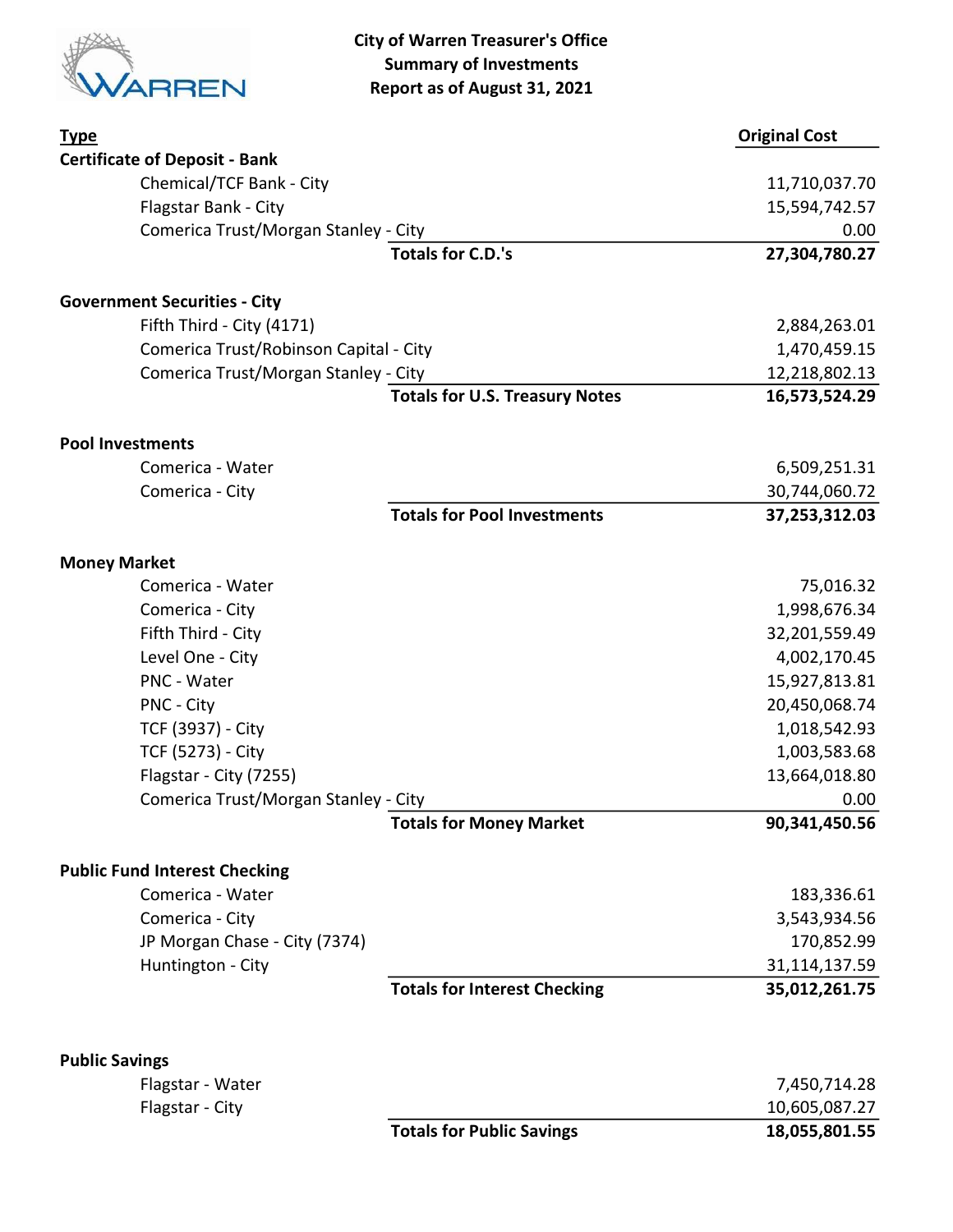

City of Warren Treasurer's Office Summary of Investments Report as of August 31, 2021

| <b>Type</b>                            |                                       | <b>Original Cost</b> |
|----------------------------------------|---------------------------------------|----------------------|
| <b>Certificate of Deposit - Bank</b>   |                                       |                      |
| Chemical/TCF Bank - City               |                                       | 11,710,037.70        |
| Flagstar Bank - City                   |                                       | 15,594,742.57        |
| Comerica Trust/Morgan Stanley - City   |                                       | 0.00                 |
|                                        | <b>Totals for C.D.'s</b>              | 27,304,780.27        |
| <b>Government Securities - City</b>    |                                       |                      |
| Fifth Third - City (4171)              |                                       | 2,884,263.01         |
| Comerica Trust/Robinson Capital - City |                                       | 1,470,459.15         |
| Comerica Trust/Morgan Stanley - City   |                                       | 12,218,802.13        |
|                                        | <b>Totals for U.S. Treasury Notes</b> | 16,573,524.29        |
| <b>Pool Investments</b>                |                                       |                      |
| Comerica - Water                       |                                       | 6,509,251.31         |
| Comerica - City                        |                                       | 30,744,060.72        |
|                                        | <b>Totals for Pool Investments</b>    | 37,253,312.03        |
| <b>Money Market</b>                    |                                       |                      |
| Comerica - Water                       |                                       | 75,016.32            |
| Comerica - City                        |                                       | 1,998,676.34         |
| Fifth Third - City                     |                                       | 32,201,559.49        |
| Level One - City                       |                                       | 4,002,170.45         |
| PNC - Water                            |                                       | 15,927,813.81        |
| PNC - City                             |                                       | 20,450,068.74        |
| TCF (3937) - City                      |                                       | 1,018,542.93         |
| TCF (5273) - City                      |                                       | 1,003,583.68         |
| Flagstar - City (7255)                 |                                       | 13,664,018.80        |
| Comerica Trust/Morgan Stanley - City   |                                       | 0.00                 |
|                                        | <b>Totals for Money Market</b>        | 90,341,450.56        |
| <b>Public Fund Interest Checking</b>   |                                       |                      |
| Comerica - Water                       |                                       | 183,336.61           |
| Comerica - City                        |                                       | 3,543,934.56         |
| JP Morgan Chase - City (7374)          |                                       | 170,852.99           |
| Huntington - City                      |                                       | 31,114,137.59        |
|                                        | <b>Totals for Interest Checking</b>   | 35,012,261.75        |
| <b>Public Savings</b>                  |                                       |                      |
| Flagstar - Water                       |                                       | 7,450,714.28         |
| Flagstar - City                        |                                       | 10,605,087.27        |
|                                        | <b>Totals for Public Savings</b>      | 18,055,801.55        |
|                                        |                                       |                      |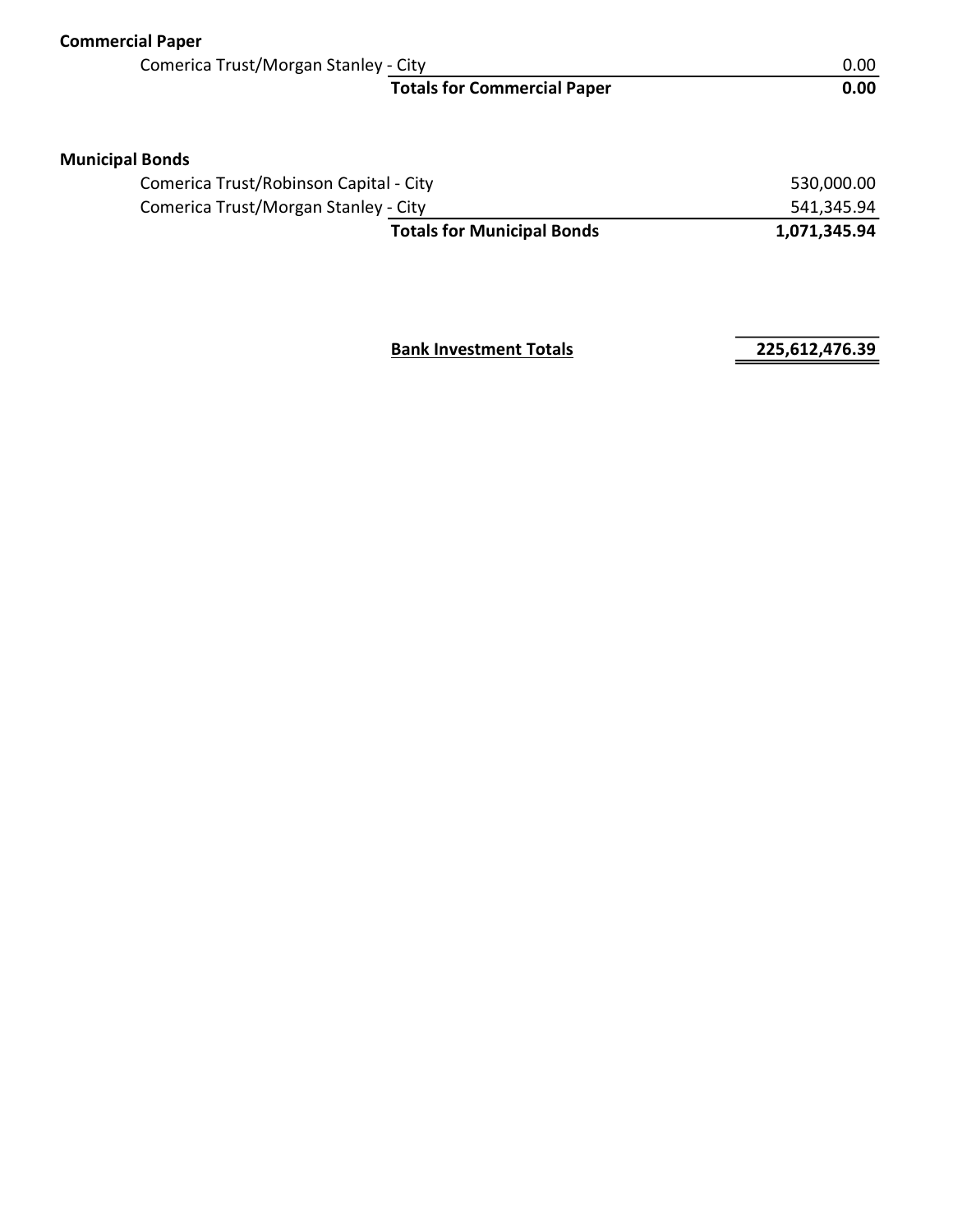| <b>Commercial Paper</b>                |                                    |              |
|----------------------------------------|------------------------------------|--------------|
| Comerica Trust/Morgan Stanley - City   |                                    | 0.00         |
|                                        | <b>Totals for Commercial Paper</b> | 0.00         |
| <b>Municipal Bonds</b>                 |                                    |              |
| Comerica Trust/Robinson Capital - City |                                    | 530,000.00   |
| Comerica Trust/Morgan Stanley - City   | 541,345.94                         |              |
|                                        | <b>Totals for Municipal Bonds</b>  | 1,071,345.94 |
|                                        |                                    |              |

**Bank Investment Totals 225,612,476.39**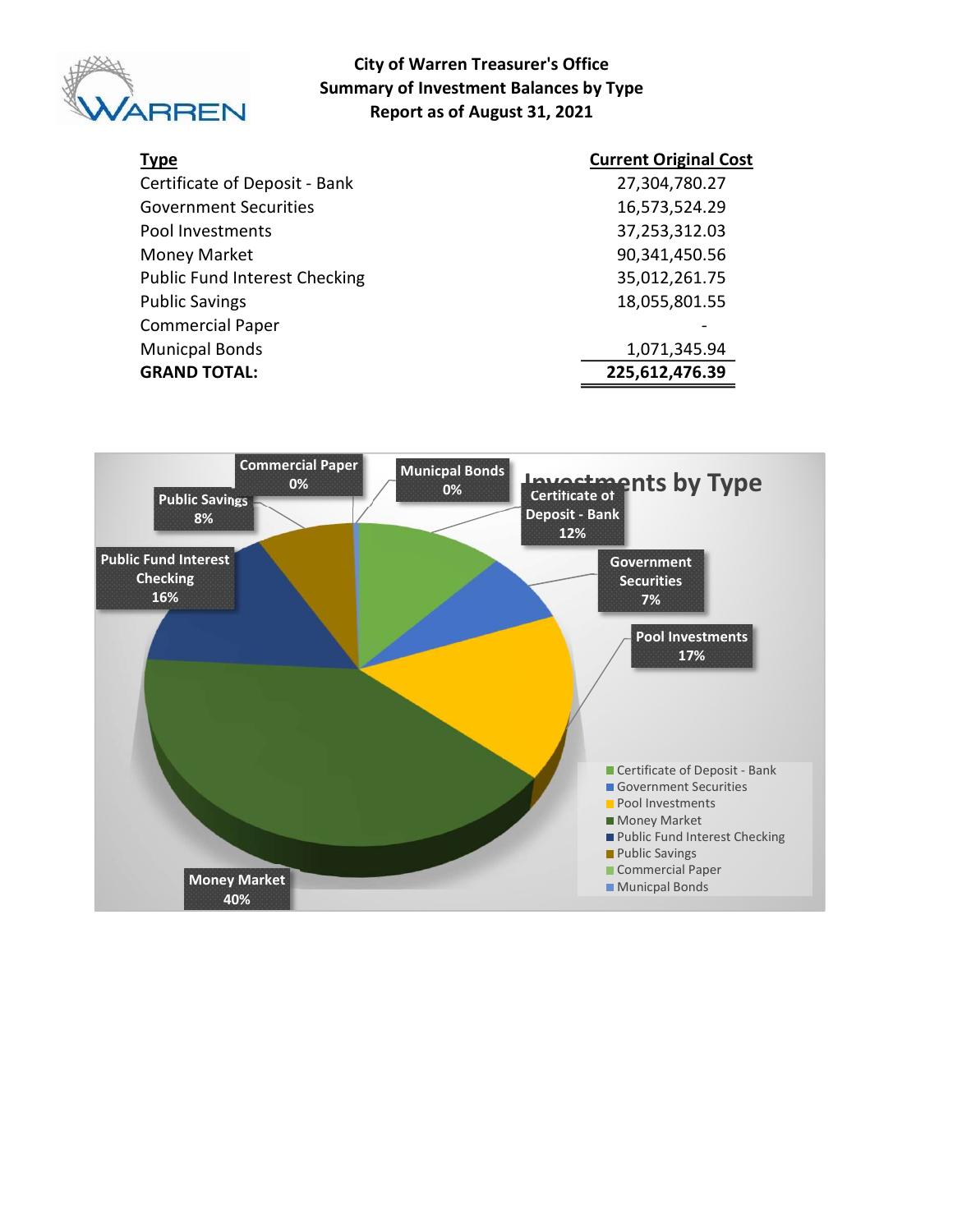

#### City of Warren Treasurer's Office Summary of Investment Balances by Type Report as of August 31, 2021

| <b>Type</b>                          | <b>Current Original Cost</b> |
|--------------------------------------|------------------------------|
| Certificate of Deposit - Bank        | 27,304,780.27                |
| <b>Government Securities</b>         | 16,573,524.29                |
| Pool Investments                     | 37,253,312.03                |
| <b>Money Market</b>                  | 90,341,450.56                |
| <b>Public Fund Interest Checking</b> | 35,012,261.75                |
| <b>Public Savings</b>                | 18,055,801.55                |
| <b>Commercial Paper</b>              |                              |
| <b>Municpal Bonds</b>                | 1,071,345.94                 |
| <b>GRAND TOTAL:</b>                  | 225,612,476.39               |

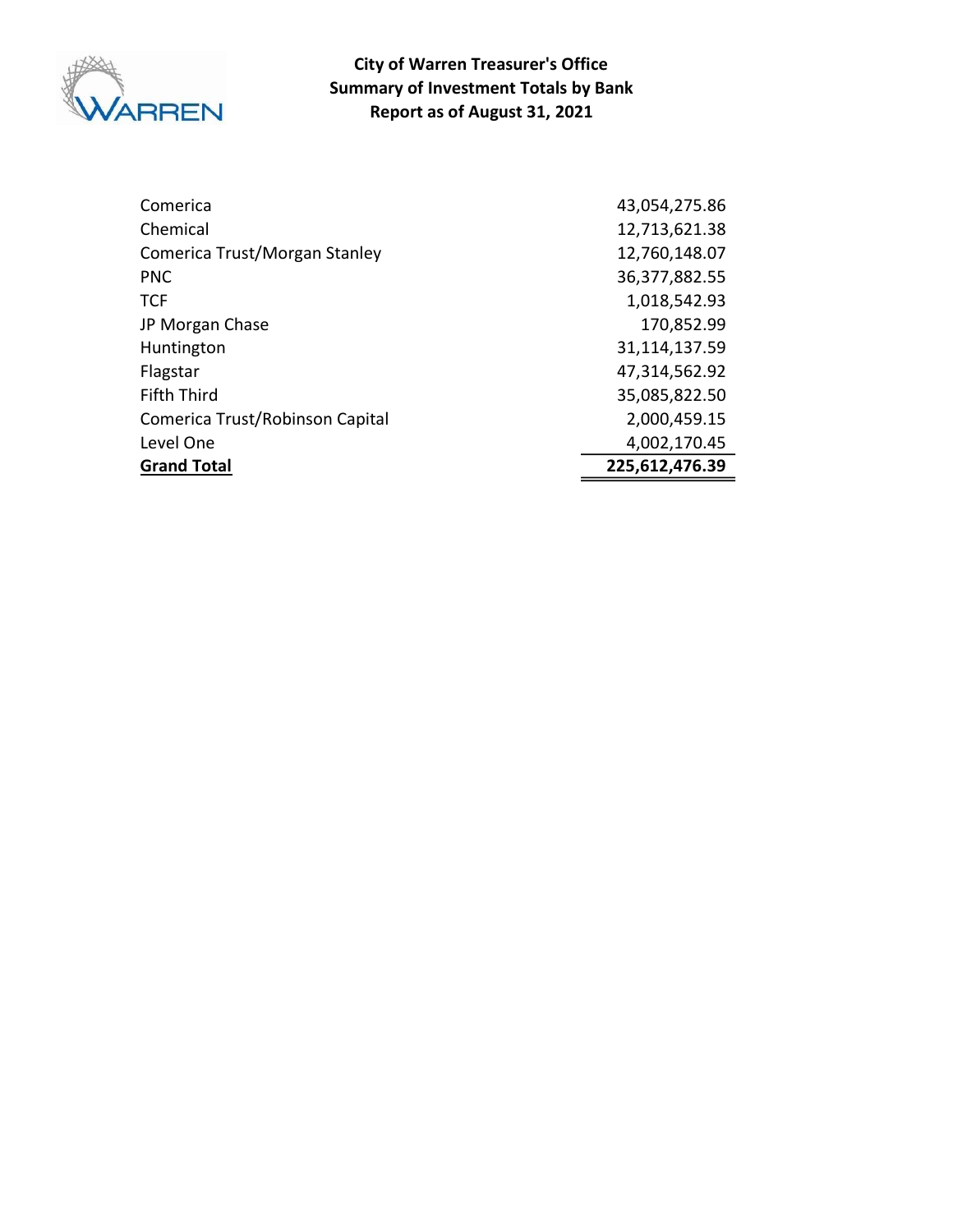

Report as of August 31, 2021 City of Warren Treasurer's Office Summary of Investment Totals by Bank

| Comerica                        | 43,054,275.86  |
|---------------------------------|----------------|
| Chemical                        | 12,713,621.38  |
| Comerica Trust/Morgan Stanley   | 12,760,148.07  |
| <b>PNC</b>                      | 36,377,882.55  |
| <b>TCF</b>                      | 1,018,542.93   |
| JP Morgan Chase                 | 170,852.99     |
| Huntington                      | 31,114,137.59  |
| Flagstar                        | 47,314,562.92  |
| <b>Fifth Third</b>              | 35,085,822.50  |
| Comerica Trust/Robinson Capital | 2,000,459.15   |
| Level One                       | 4,002,170.45   |
| <b>Grand Total</b>              | 225,612,476.39 |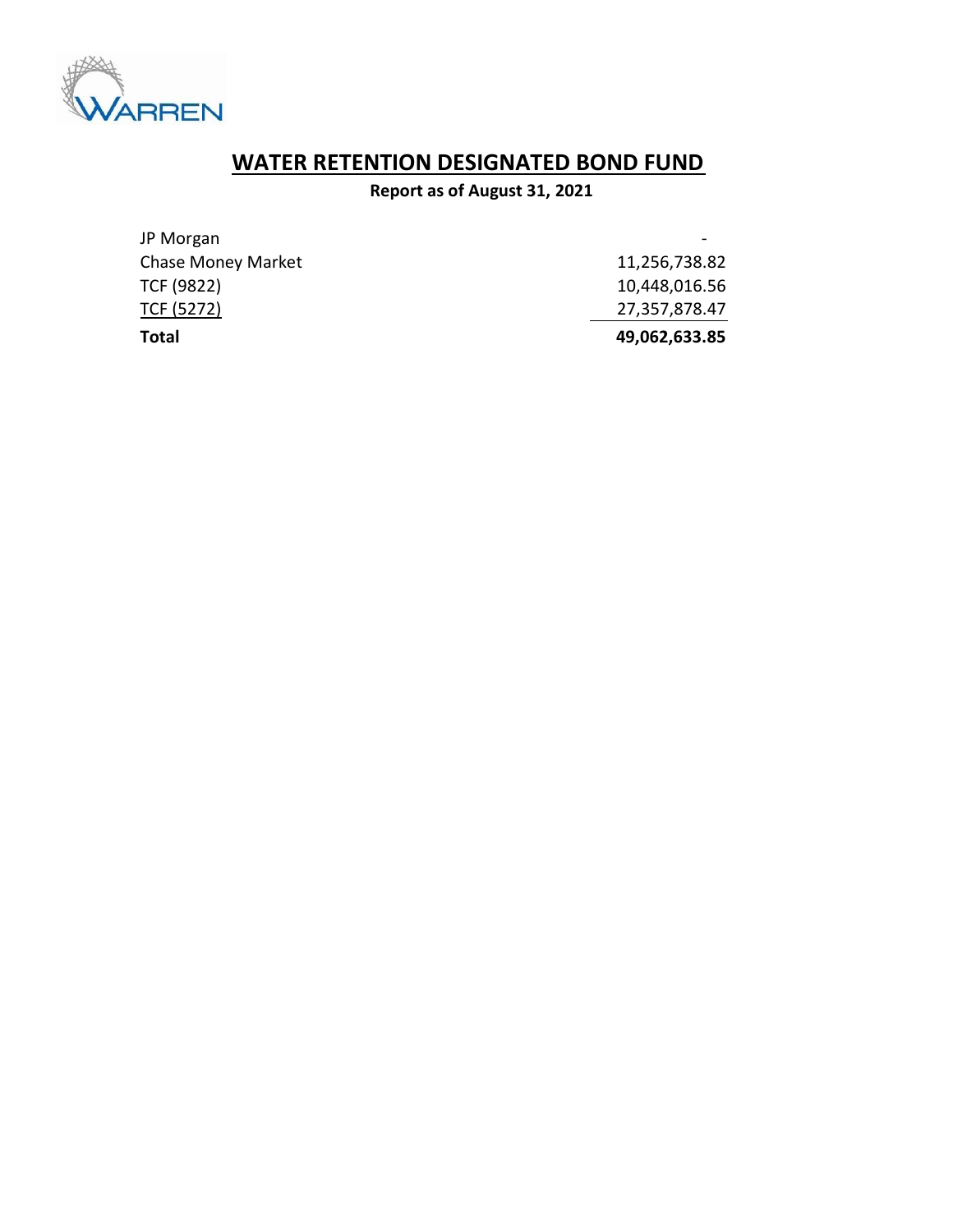

## WATER RETENTION DESIGNATED BOND FUND

### Report as of August 31, 2021

| Total                     | 49,062,633.85 |
|---------------------------|---------------|
| TCF (5272)                | 27,357,878.47 |
| TCF (9822)                | 10,448,016.56 |
| <b>Chase Money Market</b> | 11,256,738.82 |
| JP Morgan                 |               |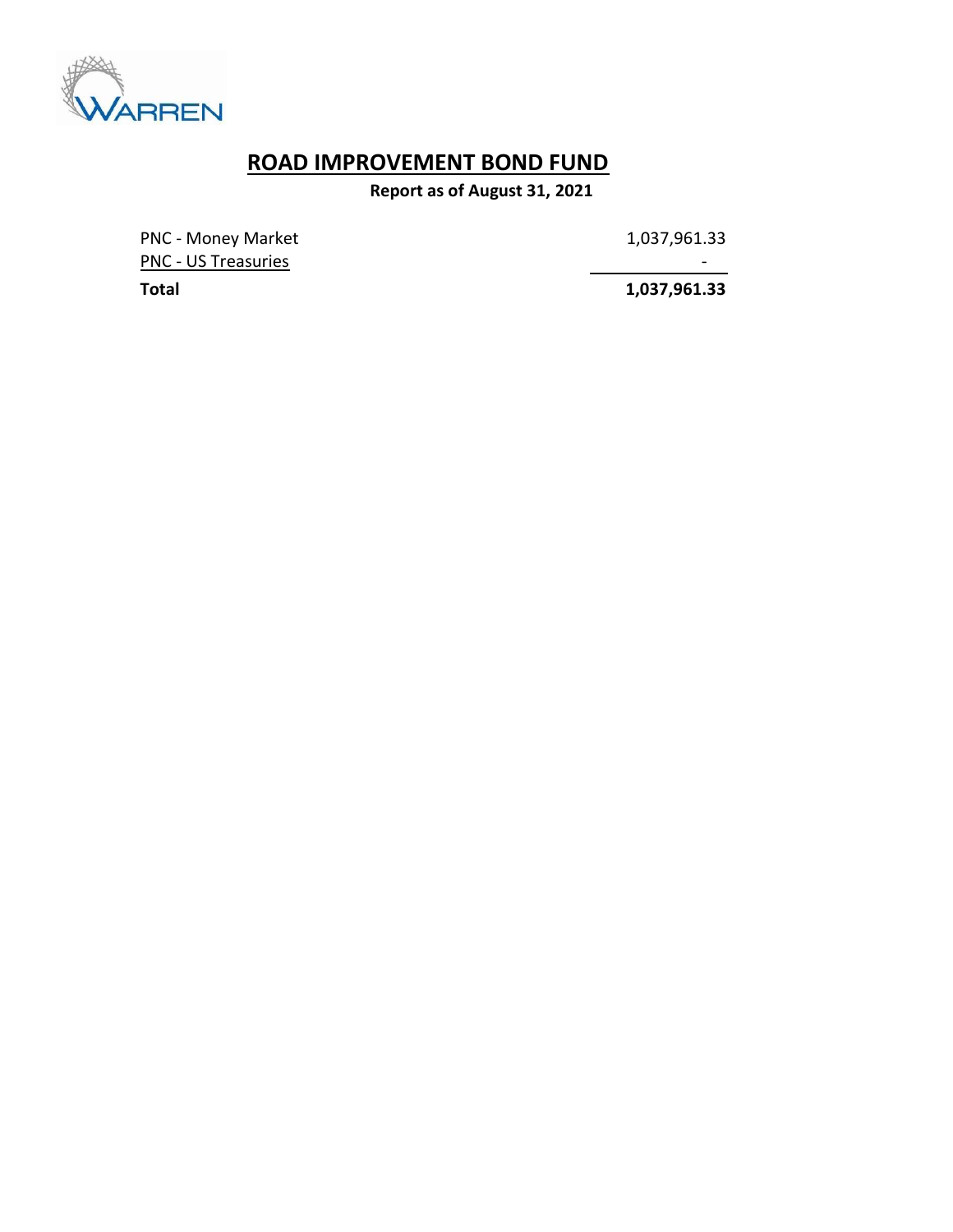

# ROAD IMPROVEMENT BOND FUND

Report as of August 31, 2021

PNC - Money Market 1,037,961.33 PNC - US Treasuries - Andreasuries - Andreasuries - Andreasuries - Andreasuries - Andreasuries - Andreasuries

Total 1,037,961.33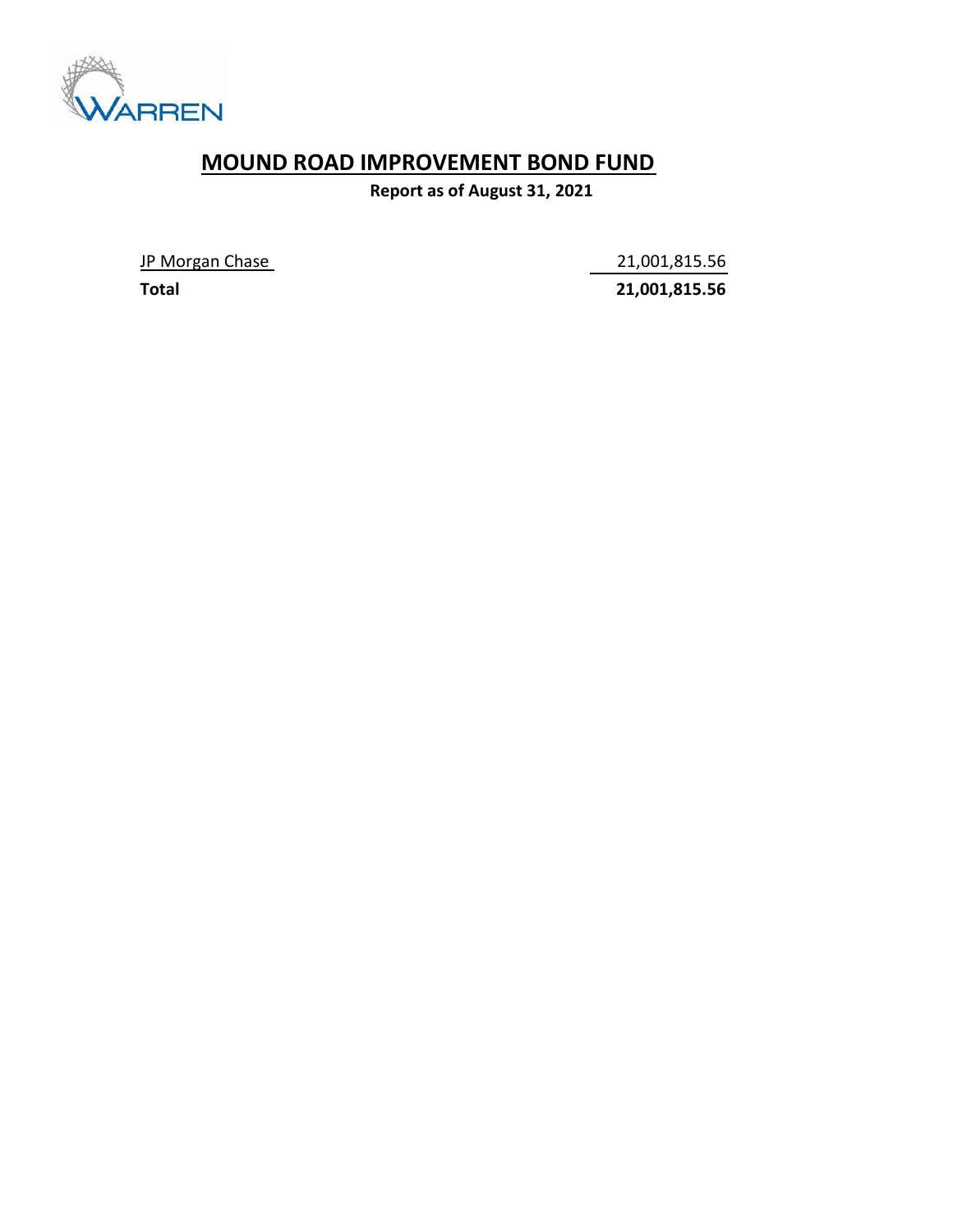

## MOUND ROAD IMPROVEMENT BOND FUND

Report as of August 31, 2021

JP Morgan Chase 21,001,815.56

Total 21,001,815.56